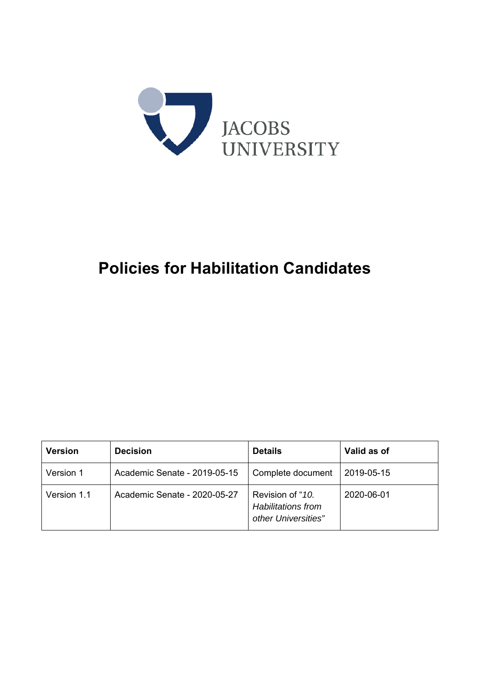

# **Policies for Habilitation Candidates**

| <b>Version</b> | <b>Decision</b>              | <b>Details</b>                                                       | Valid as of |
|----------------|------------------------------|----------------------------------------------------------------------|-------------|
| Version 1      | Academic Senate - 2019-05-15 | Complete document                                                    | 2019-05-15  |
| Version 1.1    | Academic Senate - 2020-05-27 | Revision of "10.<br><b>Habilitations from</b><br>other Universities" | 2020-06-01  |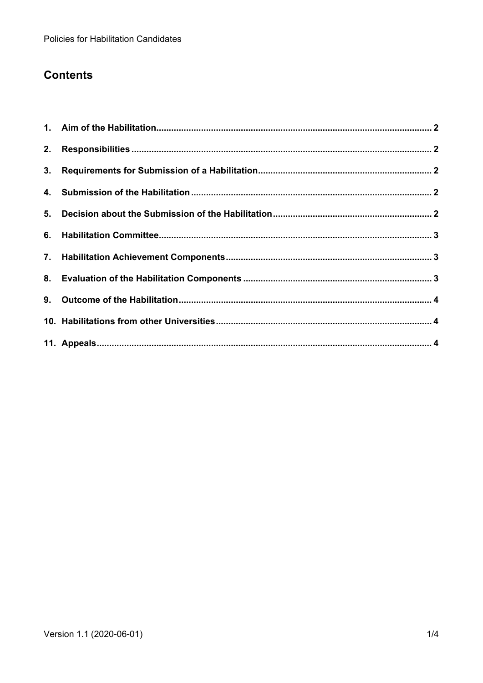# **Contents**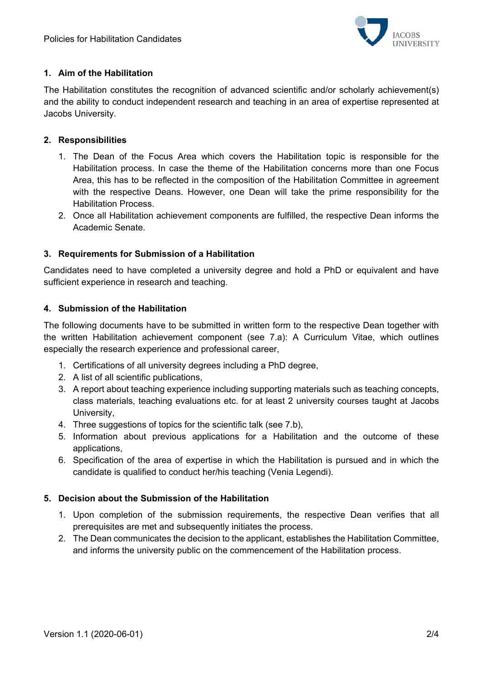

#### **1. Aim of the Habilitation**

The Habilitation constitutes the recognition of advanced scientific and/or scholarly achievement(s) and the ability to conduct independent research and teaching in an area of expertise represented at Jacobs University.

#### **2. Responsibilities**

- 1. The Dean of the Focus Area which covers the Habilitation topic is responsible for the Habilitation process. In case the theme of the Habilitation concerns more than one Focus Area, this has to be reflected in the composition of the Habilitation Committee in agreement with the respective Deans. However, one Dean will take the prime responsibility for the Habilitation Process.
- 2. Once all Habilitation achievement components are fulfilled, the respective Dean informs the Academic Senate.

#### **3. Requirements for Submission of a Habilitation**

Candidates need to have completed a university degree and hold a PhD or equivalent and have sufficient experience in research and teaching.

#### **4. Submission of the Habilitation**

The following documents have to be submitted in written form to the respective Dean together with the written Habilitation achievement component (see 7.a): A Curriculum Vitae, which outlines especially the research experience and professional career,

- 1. Certifications of all university degrees including a PhD degree,
- 2. A list of all scientific publications,
- 3. A report about teaching experience including supporting materials such as teaching concepts, class materials, teaching evaluations etc. for at least 2 university courses taught at Jacobs University,
- 4. Three suggestions of topics for the scientific talk (see 7.b).
- 5. Information about previous applications for a Habilitation and the outcome of these applications,
- 6. Specification of the area of expertise in which the Habilitation is pursued and in which the candidate is qualified to conduct her/his teaching (Venia Legendi).

#### **5. Decision about the Submission of the Habilitation**

- 1. Upon completion of the submission requirements, the respective Dean verifies that all prerequisites are met and subsequently initiates the process.
- 2. The Dean communicates the decision to the applicant, establishes the Habilitation Committee, and informs the university public on the commencement of the Habilitation process.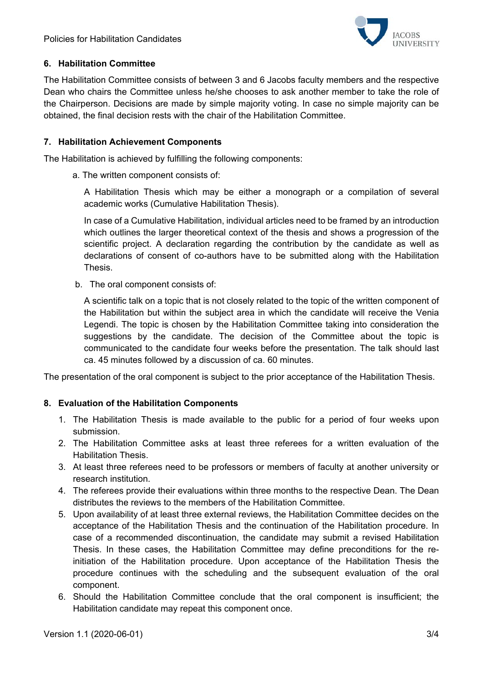

## **6. Habilitation Committee**

The Habilitation Committee consists of between 3 and 6 Jacobs faculty members and the respective Dean who chairs the Committee unless he/she chooses to ask another member to take the role of the Chairperson. Decisions are made by simple majority voting. In case no simple majority can be obtained, the final decision rests with the chair of the Habilitation Committee.

#### **7. Habilitation Achievement Components**

The Habilitation is achieved by fulfilling the following components:

a. The written component consists of:

A Habilitation Thesis which may be either a monograph or a compilation of several academic works (Cumulative Habilitation Thesis).

In case of a Cumulative Habilitation, individual articles need to be framed by an introduction which outlines the larger theoretical context of the thesis and shows a progression of the scientific project. A declaration regarding the contribution by the candidate as well as declarations of consent of co-authors have to be submitted along with the Habilitation Thesis.

b. The oral component consists of:

A scientific talk on a topic that is not closely related to the topic of the written component of the Habilitation but within the subject area in which the candidate will receive the Venia Legendi. The topic is chosen by the Habilitation Committee taking into consideration the suggestions by the candidate. The decision of the Committee about the topic is communicated to the candidate four weeks before the presentation. The talk should last ca. 45 minutes followed by a discussion of ca. 60 minutes.

The presentation of the oral component is subject to the prior acceptance of the Habilitation Thesis.

## **8. Evaluation of the Habilitation Components**

- 1. The Habilitation Thesis is made available to the public for a period of four weeks upon submission.
- 2. The Habilitation Committee asks at least three referees for a written evaluation of the Habilitation Thesis.
- 3. At least three referees need to be professors or members of faculty at another university or research institution.
- 4. The referees provide their evaluations within three months to the respective Dean. The Dean distributes the reviews to the members of the Habilitation Committee.
- 5. Upon availability of at least three external reviews, the Habilitation Committee decides on the acceptance of the Habilitation Thesis and the continuation of the Habilitation procedure. In case of a recommended discontinuation, the candidate may submit a revised Habilitation Thesis. In these cases, the Habilitation Committee may define preconditions for the reinitiation of the Habilitation procedure. Upon acceptance of the Habilitation Thesis the procedure continues with the scheduling and the subsequent evaluation of the oral component.
- 6. Should the Habilitation Committee conclude that the oral component is insufficient; the Habilitation candidate may repeat this component once.